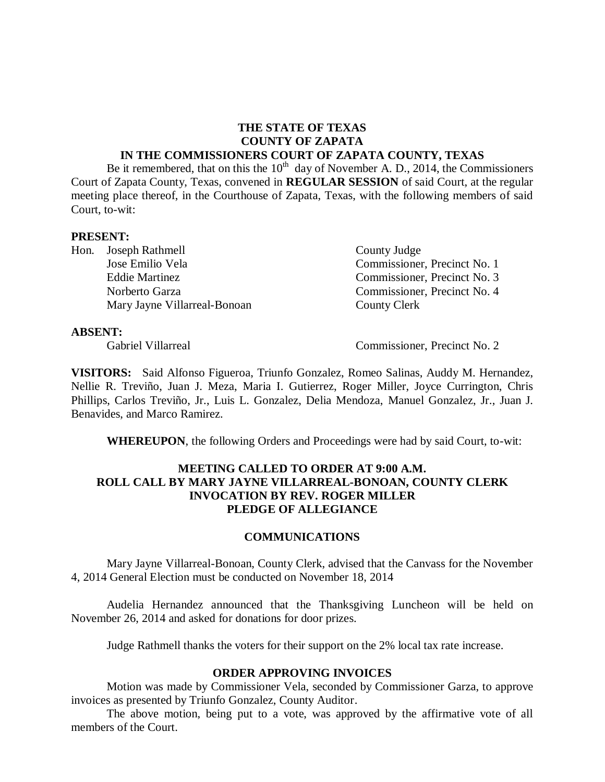#### **THE STATE OF TEXAS COUNTY OF ZAPATA IN THE COMMISSIONERS COURT OF ZAPATA COUNTY, TEXAS**

Be it remembered, that on this the  $10^{th}$  day of November A. D., 2014, the Commissioners Court of Zapata County, Texas, convened in **REGULAR SESSION** of said Court, at the regular meeting place thereof, in the Courthouse of Zapata, Texas, with the following members of said Court, to-wit:

#### **PRESENT:**

Hon. Joseph Rathmell County Judge Mary Jayne Villarreal-Bonoan County Clerk

Jose Emilio Vela Commissioner, Precinct No. 1 Eddie Martinez Commissioner, Precinct No. 3 Norberto Garza Commissioner, Precinct No. 4

#### **ABSENT:**

Gabriel Villarreal Commissioner, Precinct No. 2

**VISITORS:** Said Alfonso Figueroa, Triunfo Gonzalez, Romeo Salinas, Auddy M. Hernandez, Nellie R. Treviño, Juan J. Meza, Maria I. Gutierrez, Roger Miller, Joyce Currington, Chris Phillips, Carlos Treviño, Jr., Luis L. Gonzalez, Delia Mendoza, Manuel Gonzalez, Jr., Juan J. Benavides, and Marco Ramirez.

**WHEREUPON**, the following Orders and Proceedings were had by said Court, to-wit:

#### **MEETING CALLED TO ORDER AT 9:00 A.M. ROLL CALL BY MARY JAYNE VILLARREAL-BONOAN, COUNTY CLERK INVOCATION BY REV. ROGER MILLER PLEDGE OF ALLEGIANCE**

#### **COMMUNICATIONS**

Mary Jayne Villarreal-Bonoan, County Clerk, advised that the Canvass for the November 4, 2014 General Election must be conducted on November 18, 2014

Audelia Hernandez announced that the Thanksgiving Luncheon will be held on November 26, 2014 and asked for donations for door prizes.

Judge Rathmell thanks the voters for their support on the 2% local tax rate increase.

#### **ORDER APPROVING INVOICES**

Motion was made by Commissioner Vela, seconded by Commissioner Garza, to approve invoices as presented by Triunfo Gonzalez, County Auditor.

The above motion, being put to a vote, was approved by the affirmative vote of all members of the Court.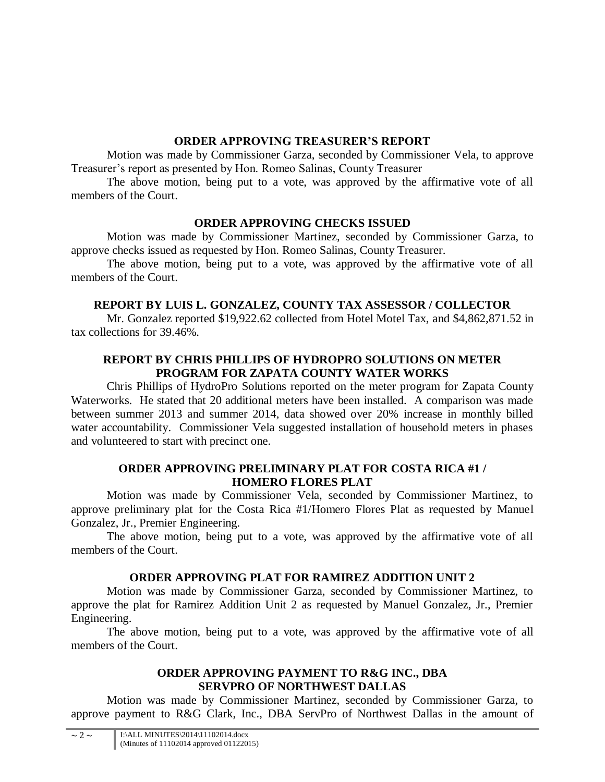## **ORDER APPROVING TREASURER'S REPORT**

Motion was made by Commissioner Garza, seconded by Commissioner Vela, to approve Treasurer's report as presented by Hon. Romeo Salinas, County Treasurer

The above motion, being put to a vote, was approved by the affirmative vote of all members of the Court.

# **ORDER APPROVING CHECKS ISSUED**

Motion was made by Commissioner Martinez, seconded by Commissioner Garza, to approve checks issued as requested by Hon. Romeo Salinas, County Treasurer.

The above motion, being put to a vote, was approved by the affirmative vote of all members of the Court.

# **REPORT BY LUIS L. GONZALEZ, COUNTY TAX ASSESSOR / COLLECTOR**

Mr. Gonzalez reported \$19,922.62 collected from Hotel Motel Tax, and \$4,862,871.52 in tax collections for 39.46%.

## **REPORT BY CHRIS PHILLIPS OF HYDROPRO SOLUTIONS ON METER PROGRAM FOR ZAPATA COUNTY WATER WORKS**

Chris Phillips of HydroPro Solutions reported on the meter program for Zapata County Waterworks. He stated that 20 additional meters have been installed. A comparison was made between summer 2013 and summer 2014, data showed over 20% increase in monthly billed water accountability. Commissioner Vela suggested installation of household meters in phases and volunteered to start with precinct one.

## **ORDER APPROVING PRELIMINARY PLAT FOR COSTA RICA #1 / HOMERO FLORES PLAT**

Motion was made by Commissioner Vela, seconded by Commissioner Martinez, to approve preliminary plat for the Costa Rica #1/Homero Flores Plat as requested by Manuel Gonzalez, Jr., Premier Engineering.

The above motion, being put to a vote, was approved by the affirmative vote of all members of the Court.

# **ORDER APPROVING PLAT FOR RAMIREZ ADDITION UNIT 2**

Motion was made by Commissioner Garza, seconded by Commissioner Martinez, to approve the plat for Ramirez Addition Unit 2 as requested by Manuel Gonzalez, Jr., Premier Engineering.

The above motion, being put to a vote, was approved by the affirmative vote of all members of the Court.

## **ORDER APPROVING PAYMENT TO R&G INC., DBA SERVPRO OF NORTHWEST DALLAS**

Motion was made by Commissioner Martinez, seconded by Commissioner Garza, to approve payment to R&G Clark, Inc., DBA ServPro of Northwest Dallas in the amount of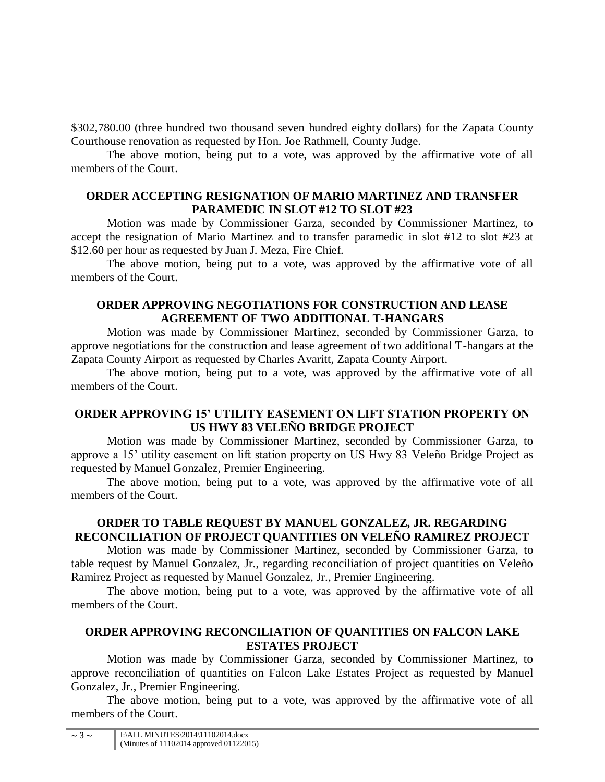\$302,780.00 (three hundred two thousand seven hundred eighty dollars) for the Zapata County Courthouse renovation as requested by Hon. Joe Rathmell, County Judge.

The above motion, being put to a vote, was approved by the affirmative vote of all members of the Court.

### **ORDER ACCEPTING RESIGNATION OF MARIO MARTINEZ AND TRANSFER PARAMEDIC IN SLOT #12 TO SLOT #23**

Motion was made by Commissioner Garza, seconded by Commissioner Martinez, to accept the resignation of Mario Martinez and to transfer paramedic in slot #12 to slot #23 at \$12.60 per hour as requested by Juan J. Meza, Fire Chief.

The above motion, being put to a vote, was approved by the affirmative vote of all members of the Court.

## **ORDER APPROVING NEGOTIATIONS FOR CONSTRUCTION AND LEASE AGREEMENT OF TWO ADDITIONAL T-HANGARS**

Motion was made by Commissioner Martinez, seconded by Commissioner Garza, to approve negotiations for the construction and lease agreement of two additional T-hangars at the Zapata County Airport as requested by Charles Avaritt, Zapata County Airport.

The above motion, being put to a vote, was approved by the affirmative vote of all members of the Court.

## **ORDER APPROVING 15' UTILITY EASEMENT ON LIFT STATION PROPERTY ON US HWY 83 VELEÑO BRIDGE PROJECT**

Motion was made by Commissioner Martinez, seconded by Commissioner Garza, to approve a 15' utility easement on lift station property on US Hwy 83 Veleño Bridge Project as requested by Manuel Gonzalez, Premier Engineering.

The above motion, being put to a vote, was approved by the affirmative vote of all members of the Court.

## **ORDER TO TABLE REQUEST BY MANUEL GONZALEZ, JR. REGARDING RECONCILIATION OF PROJECT QUANTITIES ON VELEÑO RAMIREZ PROJECT**

Motion was made by Commissioner Martinez, seconded by Commissioner Garza, to table request by Manuel Gonzalez, Jr., regarding reconciliation of project quantities on Veleño Ramirez Project as requested by Manuel Gonzalez, Jr., Premier Engineering.

The above motion, being put to a vote, was approved by the affirmative vote of all members of the Court.

## **ORDER APPROVING RECONCILIATION OF QUANTITIES ON FALCON LAKE ESTATES PROJECT**

Motion was made by Commissioner Garza, seconded by Commissioner Martinez, to approve reconciliation of quantities on Falcon Lake Estates Project as requested by Manuel Gonzalez, Jr., Premier Engineering.

The above motion, being put to a vote, was approved by the affirmative vote of all members of the Court.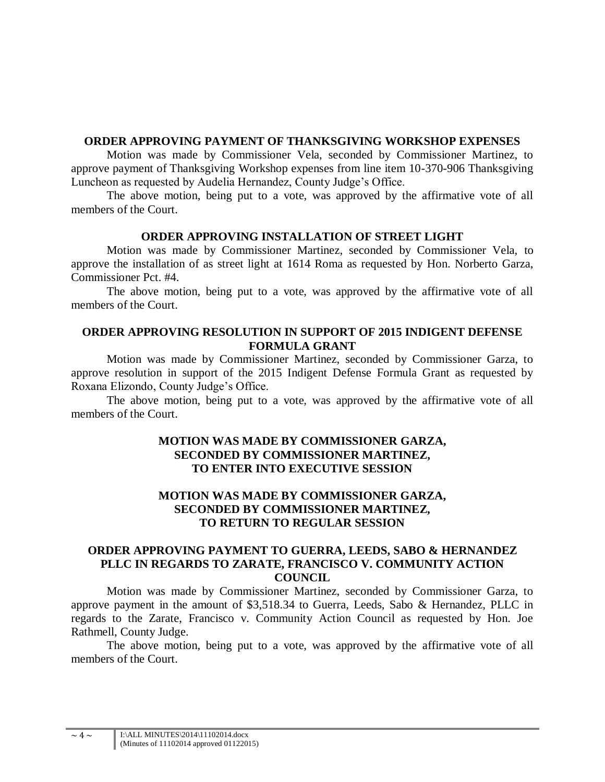### **ORDER APPROVING PAYMENT OF THANKSGIVING WORKSHOP EXPENSES**

Motion was made by Commissioner Vela, seconded by Commissioner Martinez, to approve payment of Thanksgiving Workshop expenses from line item 10-370-906 Thanksgiving Luncheon as requested by Audelia Hernandez, County Judge's Office.

The above motion, being put to a vote, was approved by the affirmative vote of all members of the Court.

#### **ORDER APPROVING INSTALLATION OF STREET LIGHT**

Motion was made by Commissioner Martinez, seconded by Commissioner Vela, to approve the installation of as street light at 1614 Roma as requested by Hon. Norberto Garza, Commissioner Pct. #4.

The above motion, being put to a vote, was approved by the affirmative vote of all members of the Court.

#### **ORDER APPROVING RESOLUTION IN SUPPORT OF 2015 INDIGENT DEFENSE FORMULA GRANT**

Motion was made by Commissioner Martinez, seconded by Commissioner Garza, to approve resolution in support of the 2015 Indigent Defense Formula Grant as requested by Roxana Elizondo, County Judge's Office.

The above motion, being put to a vote, was approved by the affirmative vote of all members of the Court.

#### **MOTION WAS MADE BY COMMISSIONER GARZA, SECONDED BY COMMISSIONER MARTINEZ, TO ENTER INTO EXECUTIVE SESSION**

## **MOTION WAS MADE BY COMMISSIONER GARZA, SECONDED BY COMMISSIONER MARTINEZ, TO RETURN TO REGULAR SESSION**

## **ORDER APPROVING PAYMENT TO GUERRA, LEEDS, SABO & HERNANDEZ PLLC IN REGARDS TO ZARATE, FRANCISCO V. COMMUNITY ACTION COUNCIL**

Motion was made by Commissioner Martinez, seconded by Commissioner Garza, to approve payment in the amount of \$3,518.34 to Guerra, Leeds, Sabo & Hernandez, PLLC in regards to the Zarate, Francisco v. Community Action Council as requested by Hon. Joe Rathmell, County Judge.

The above motion, being put to a vote, was approved by the affirmative vote of all members of the Court.